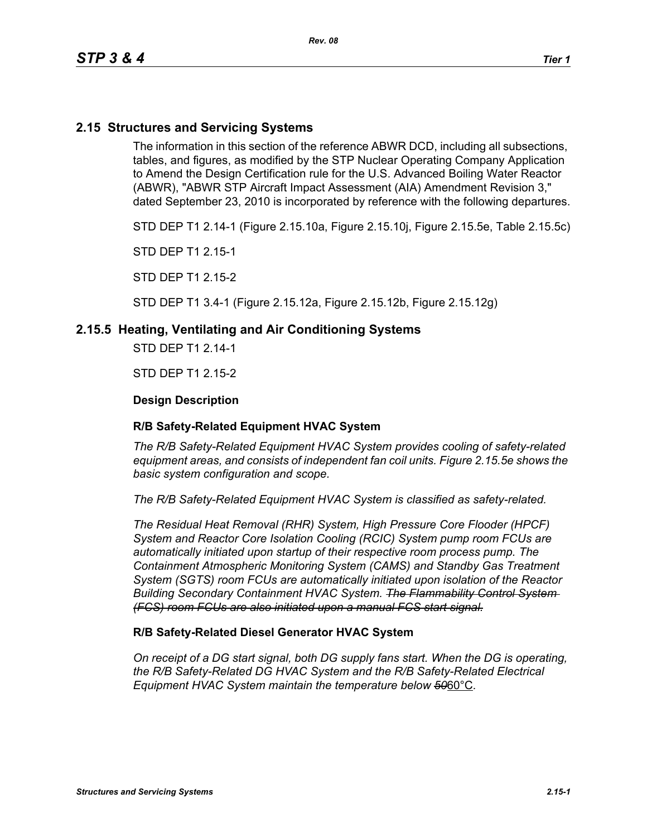# **2.15 Structures and Servicing Systems**

The information in this section of the reference ABWR DCD, including all subsections, tables, and figures, as modified by the STP Nuclear Operating Company Application to Amend the Design Certification rule for the U.S. Advanced Boiling Water Reactor (ABWR), "ABWR STP Aircraft Impact Assessment (AIA) Amendment Revision 3," dated September 23, 2010 is incorporated by reference with the following departures.

STD DEP T1 2.14-1 (Figure 2.15.10a, Figure 2.15.10j, Figure 2.15.5e, Table 2.15.5c)

STD DEP T1 2.15-1

STD DEP T1 2.15-2

STD DEP T1 3.4-1 (Figure 2.15.12a, Figure 2.15.12b, Figure 2.15.12g)

## **2.15.5 Heating, Ventilating and Air Conditioning Systems**

STD DEP T1 2.14-1

STD DEP T1 2.15-2

### **Design Description**

#### **R/B Safety-Related Equipment HVAC System**

*The R/B Safety-Related Equipment HVAC System provides cooling of safety-related equipment areas, and consists of independent fan coil units. Figure 2.15.5e shows the basic system configuration and scope.*

*The R/B Safety-Related Equipment HVAC System is classified as safety-related.*

*The Residual Heat Removal (RHR) System, High Pressure Core Flooder (HPCF) System and Reactor Core Isolation Cooling (RCIC) System pump room FCUs are automatically initiated upon startup of their respective room process pump. The Containment Atmospheric Monitoring System (CAMS) and Standby Gas Treatment System (SGTS) room FCUs are automatically initiated upon isolation of the Reactor Building Secondary Containment HVAC System. The Flammability Control System (FCS) room FCUs are also initiated upon a manual FCS start signal.*

#### **R/B Safety-Related Diesel Generator HVAC System**

*On receipt of a DG start signal, both DG supply fans start. When the DG is operating, the R/B Safety-Related DG HVAC System and the R/B Safety-Related Electrical Equipment HVAC System maintain the temperature below 50*60°C*.*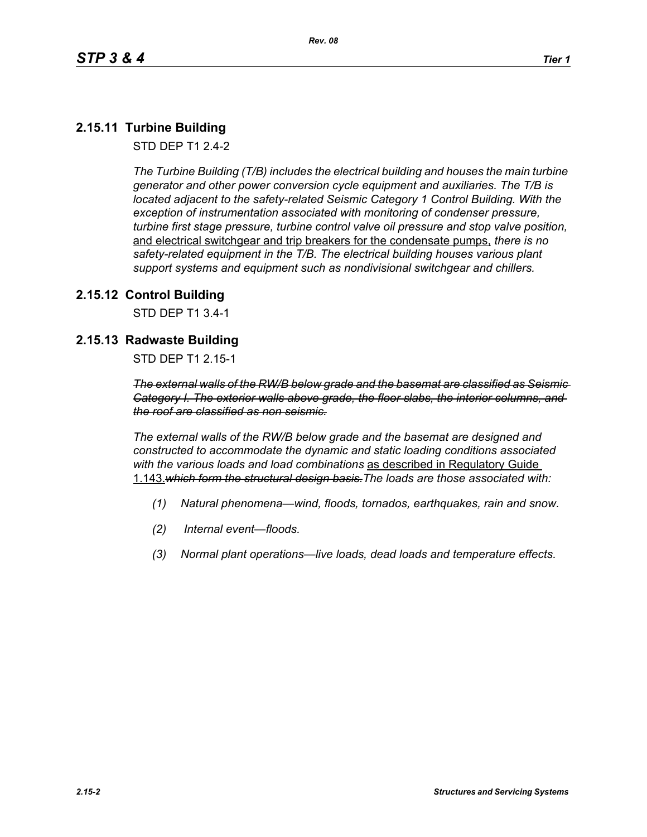# **2.15.11 Turbine Building**

STD DEP T1 2.4-2

*The Turbine Building (T/B) includes the electrical building and houses the main turbine generator and other power conversion cycle equipment and auxiliaries. The T/B is located adjacent to the safety-related Seismic Category 1 Control Building. With the exception of instrumentation associated with monitoring of condenser pressure, turbine first stage pressure, turbine control valve oil pressure and stop valve position,*  and electrical switchgear and trip breakers for the condensate pumps, *there is no safety-related equipment in the T/B. The electrical building houses various plant support systems and equipment such as nondivisional switchgear and chillers.*

# **2.15.12 Control Building**

STD DEP T1 3.4-1

# **2.15.13 Radwaste Building**

STD DEP T1 2.15-1

*The external walls of the RW/B below grade and the basemat are classified as Seismic Category I. The exterior walls above grade, the floor slabs, the interior columns, and the roof are classified as non seismic.*

*The external walls of the RW/B below grade and the basemat are designed and constructed to accommodate the dynamic and static loading conditions associated with the various loads and load combinations* as described in Regulatory Guide 1.143.*which form the structural design basis.The loads are those associated with:*

- *(1) Natural phenomena—wind, floods, tornados, earthquakes, rain and snow.*
- *(2) Internal event—floods.*
- *(3) Normal plant operations—live loads, dead loads and temperature effects.*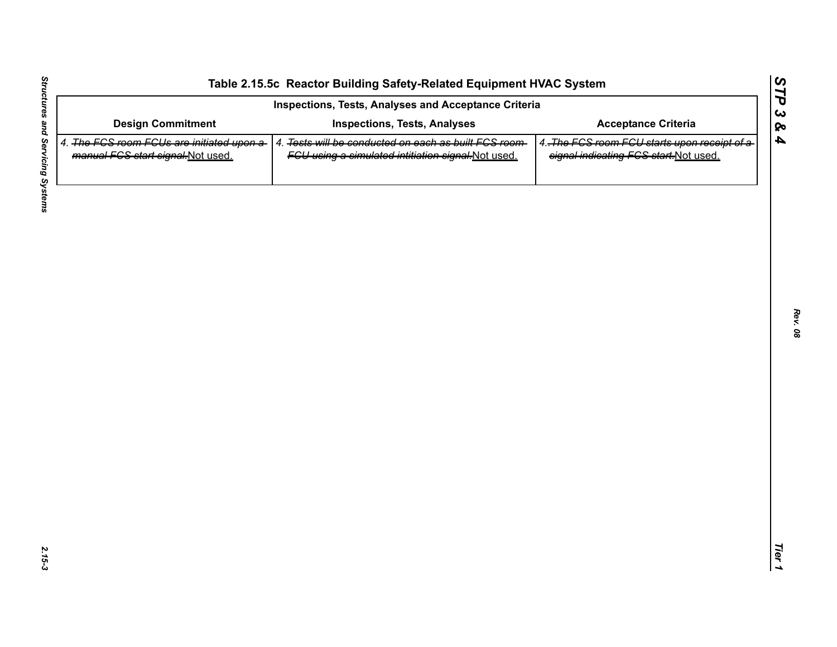| Inspections, Tests, Analyses and Acceptance Criteria                            |                                                                                                             |                                                                                       |
|---------------------------------------------------------------------------------|-------------------------------------------------------------------------------------------------------------|---------------------------------------------------------------------------------------|
| <b>Design Commitment</b>                                                        | <b>Inspections, Tests, Analyses</b>                                                                         | <b>Acceptance Criteria</b>                                                            |
| 4. The FGS room FGUs are initiated upon a-<br>manual FCS start signal-Not used. | 4. Tests will be conducted on each as built FCS room-<br>FGU using a simulated intitiation signal-Not used. | 4. The FCS room FCU starts upon receipt of a<br>signal indicating FCS start.Not used. |
|                                                                                 |                                                                                                             |                                                                                       |
|                                                                                 |                                                                                                             |                                                                                       |
|                                                                                 |                                                                                                             |                                                                                       |
|                                                                                 |                                                                                                             |                                                                                       |
|                                                                                 |                                                                                                             |                                                                                       |
|                                                                                 |                                                                                                             |                                                                                       |
|                                                                                 |                                                                                                             |                                                                                       |
|                                                                                 |                                                                                                             |                                                                                       |
|                                                                                 |                                                                                                             |                                                                                       |
|                                                                                 |                                                                                                             |                                                                                       |
|                                                                                 |                                                                                                             |                                                                                       |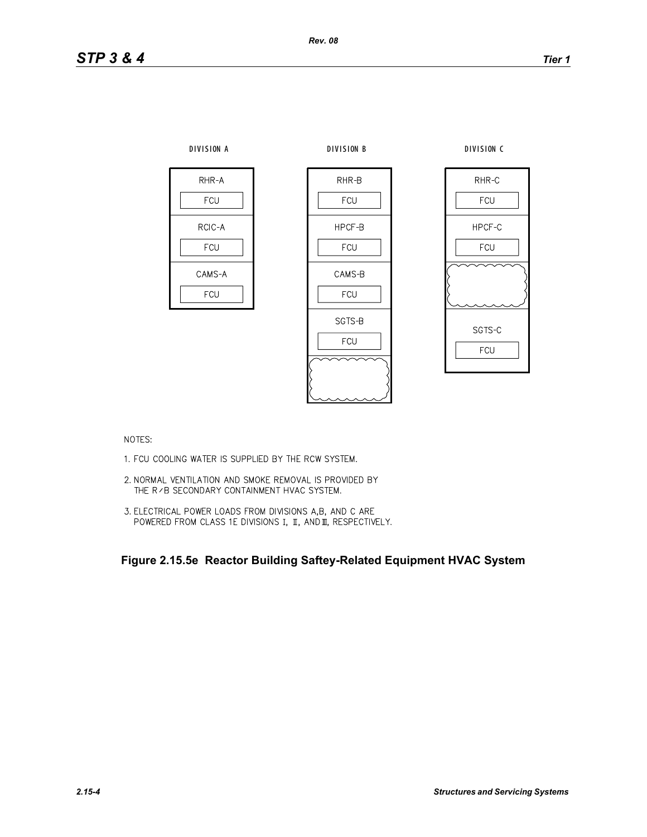



NOTES:

- 1. FCU COOLING WATER IS SUPPLIED BY THE RCW SYSTEM.
- 2. NORMAL VENTILATION AND SMOKE REMOVAL IS PROVIDED BY THE R / B SECONDARY CONTAINMENT HVAC SYSTEM.
- 3. ELECTRICAL POWER LOADS FROM DIVISIONS A,B, AND C ARE POWERED FROM CLASS 1E DIVISIONS I, II, AND II, RESPECTIVELY.

**Figure 2.15.5e Reactor Building Saftey-Related Equipment HVAC System**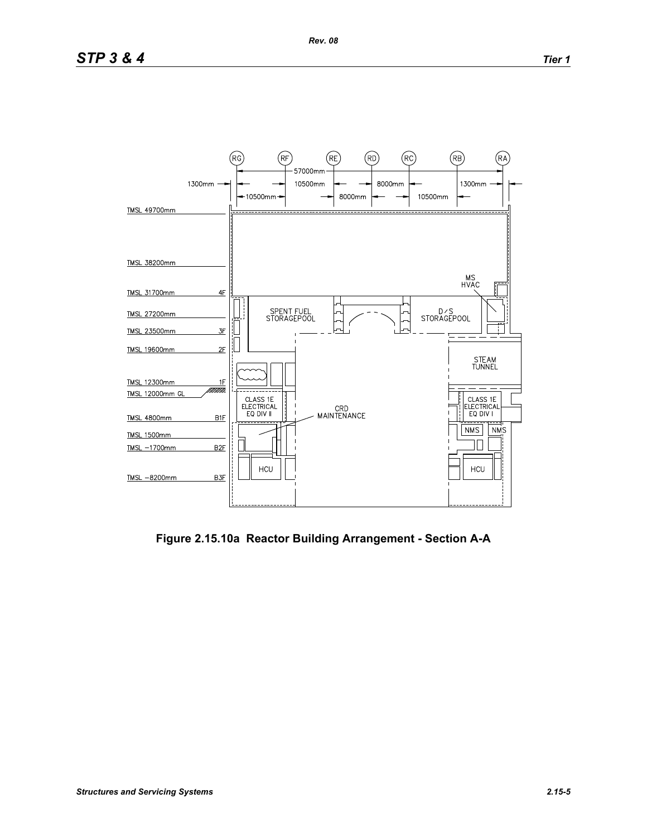

**Figure 2.15.10a Reactor Building Arrangement - Section A-A**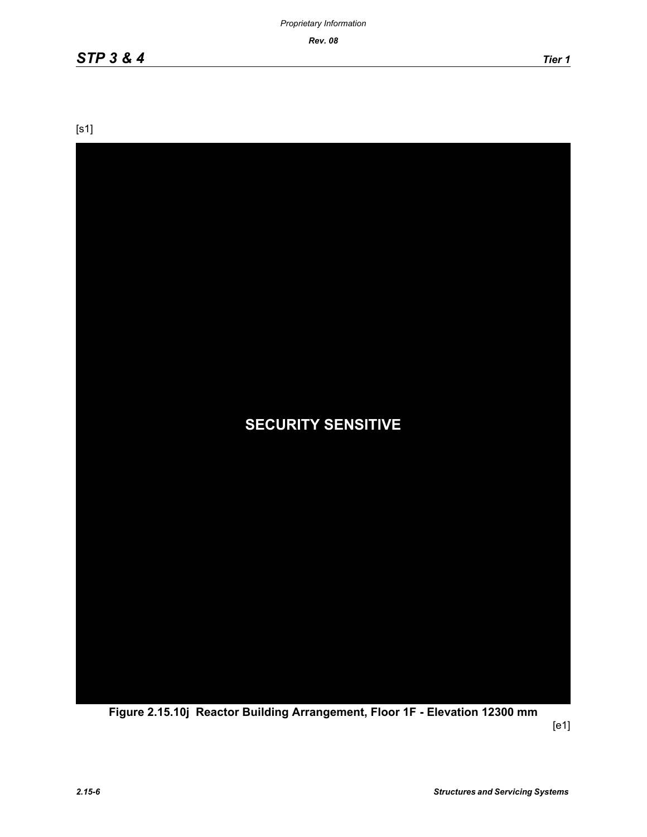*Rev. 08*

[s1]



**Figure 2.15.10j Reactor Building Arrangement, Floor 1F - Elevation 12300 mm**

[e1]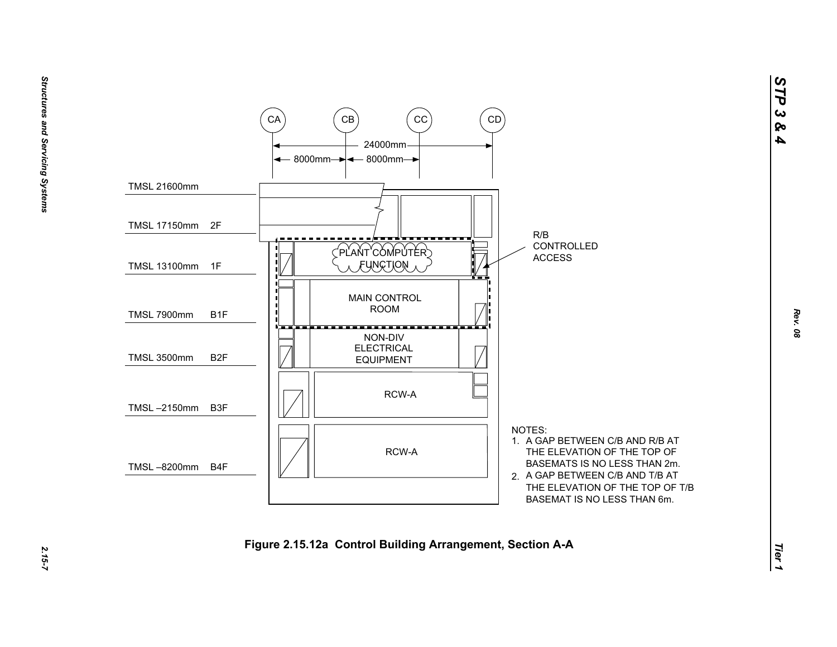

*STP 3 & 4*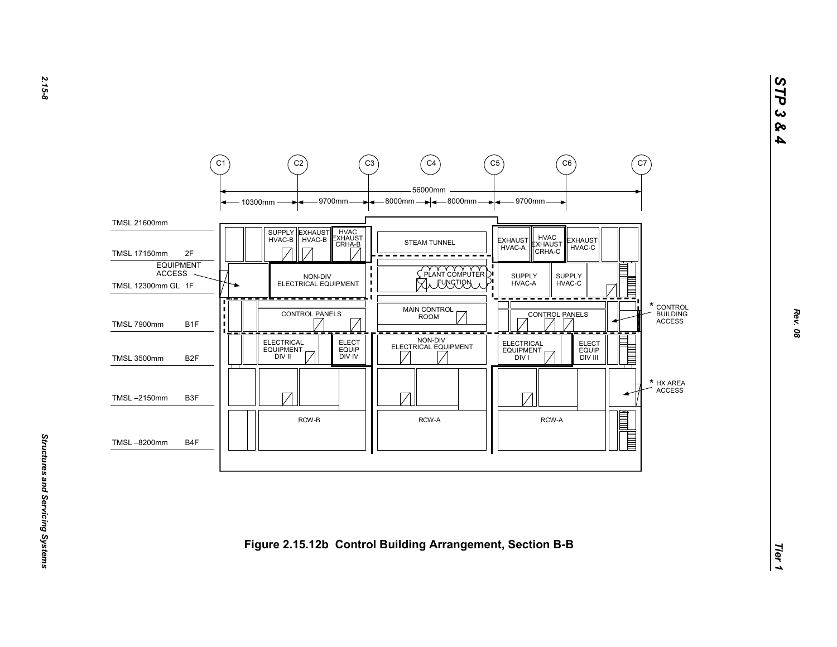